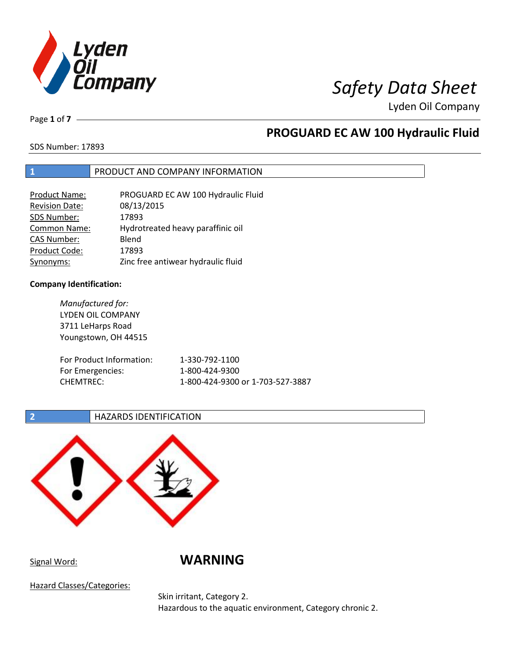

Page **1** of **7**

# **PROGUARD EC AW 100 Hydraulic Fluid**

SDS Number: 17893

### **1** PRODUCT AND COMPANY INFORMATION

| <b>Product Name:</b>  | PROGUARD EC AW 100 Hydraulic Fluid |
|-----------------------|------------------------------------|
| <b>Revision Date:</b> | 08/13/2015                         |
| SDS Number:           | 17893                              |
| <b>Common Name:</b>   | Hydrotreated heavy paraffinic oil  |
| <b>CAS Number:</b>    | Blend                              |
| Product Code:         | 17893                              |
| Synonyms:             | Zinc free antiwear hydraulic fluid |

### **Company Identification:**

| Manufactured for:<br>LYDEN OIL COMPANY<br>3711 LeHarps Road<br>Youngstown, OH 44515 |                                  |
|-------------------------------------------------------------------------------------|----------------------------------|
| For Product Information:                                                            | 1-330-792-1100                   |
| For Emergencies:                                                                    | 1-800-424-9300                   |
| CHEMTREC:                                                                           | 1-800-424-9300 or 1-703-527-3887 |

### **2 HAZARDS IDENTIFICATION**



Signal Word: **WARNING**

Hazard Classes/Categories:

Skin irritant, Category 2. Hazardous to the aquatic environment, Category chronic 2.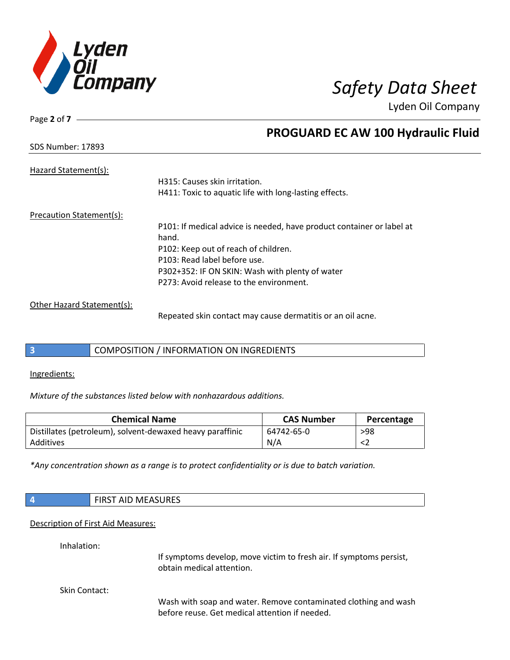

Page **2** of **7**

# **PROGUARD EC AW 100 Hydraulic Fluid**

| <b>SDS Number: 17893</b> |  |
|--------------------------|--|
|                          |  |

| Hazard Statement(s):       |                                                                       |
|----------------------------|-----------------------------------------------------------------------|
|                            | H315: Causes skin irritation.                                         |
|                            | H411: Toxic to aquatic life with long-lasting effects.                |
| Precaution Statement(s):   |                                                                       |
|                            | P101: If medical advice is needed, have product container or label at |
|                            | hand.                                                                 |
|                            | P102: Keep out of reach of children.                                  |
|                            | P103: Read label before use.                                          |
|                            | P302+352: IF ON SKIN: Wash with plenty of water                       |
|                            | P273: Avoid release to the environment.                               |
| Other Hazard Statement(s): |                                                                       |
|                            | Repeated skin contact may cause dermatitis or an oil acne.            |

# **3** COMPOSITION / INFORMATION ON INGREDIENTS

Ingredients:

*Mixture of the substances listed below with nonhazardous additions.*

| <b>Chemical Name</b>                                      | <b>CAS Number</b> | Percentage |
|-----------------------------------------------------------|-------------------|------------|
| Distillates (petroleum), solvent-dewaxed heavy paraffinic | 64742-65-0        | >98        |
| Additives                                                 | N/A               |            |

*\*Any concentration shown as a range is to protect confidentiality or is due to batch variation.*

| $\vert 4$                          | <b>FIRST AID MEASURES</b>                                                                                         |  |  |  |
|------------------------------------|-------------------------------------------------------------------------------------------------------------------|--|--|--|
| Description of First Aid Measures: |                                                                                                                   |  |  |  |
| Inhalation:                        | If symptoms develop, move victim to fresh air. If symptoms persist,<br>obtain medical attention.                  |  |  |  |
| Skin Contact:                      | Wash with soap and water. Remove contaminated clothing and wash<br>before reuse. Get medical attention if needed. |  |  |  |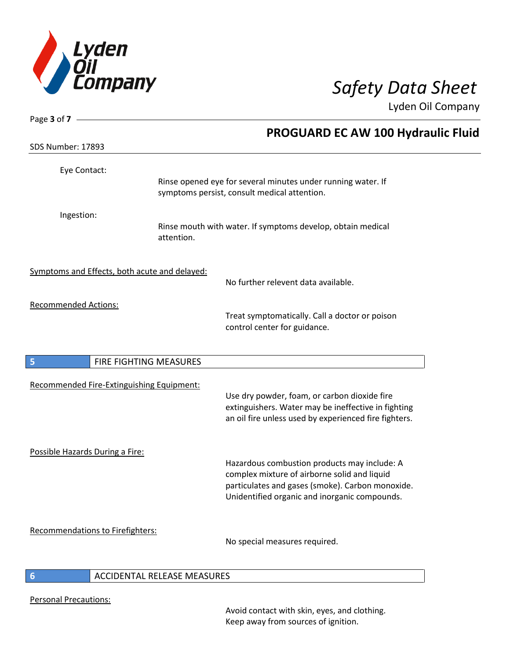

| Page 3 of $7 -$                               |                              |                                                                                                                                                                                                   |
|-----------------------------------------------|------------------------------|---------------------------------------------------------------------------------------------------------------------------------------------------------------------------------------------------|
|                                               |                              | PROGUARD EC AW 100 Hydraulic Fluid                                                                                                                                                                |
| SDS Number: 17893                             |                              |                                                                                                                                                                                                   |
| Eye Contact:                                  |                              | Rinse opened eye for several minutes under running water. If<br>symptoms persist, consult medical attention.                                                                                      |
| Ingestion:                                    | attention.                   | Rinse mouth with water. If symptoms develop, obtain medical                                                                                                                                       |
| Symptoms and Effects, both acute and delayed: |                              | No further relevent data available.                                                                                                                                                               |
| <b>Recommended Actions:</b>                   |                              | Treat symptomatically. Call a doctor or poison<br>control center for guidance.                                                                                                                    |
| 5                                             | FIRE FIGHTING MEASURES       |                                                                                                                                                                                                   |
| Recommended Fire-Extinguishing Equipment:     |                              | Use dry powder, foam, or carbon dioxide fire<br>extinguishers. Water may be ineffective in fighting<br>an oil fire unless used by experienced fire fighters.                                      |
| Possible Hazards During a Fire:               |                              | Hazardous combustion products may include: A<br>complex mixture of airborne solid and liquid<br>particulates and gases (smoke). Carbon monoxide.<br>Unidentified organic and inorganic compounds. |
| <b>Recommendations to Firefighters:</b>       |                              | No special measures required.                                                                                                                                                                     |
|                                               | ACCIDENTAL DELEACE MEACLIDEC |                                                                                                                                                                                                   |

### **6** ACCIDENTAL RELEASE MEASURES

Personal Precautions:

I

Avoid contact with skin, eyes, and clothing. Keep away from sources of ignition.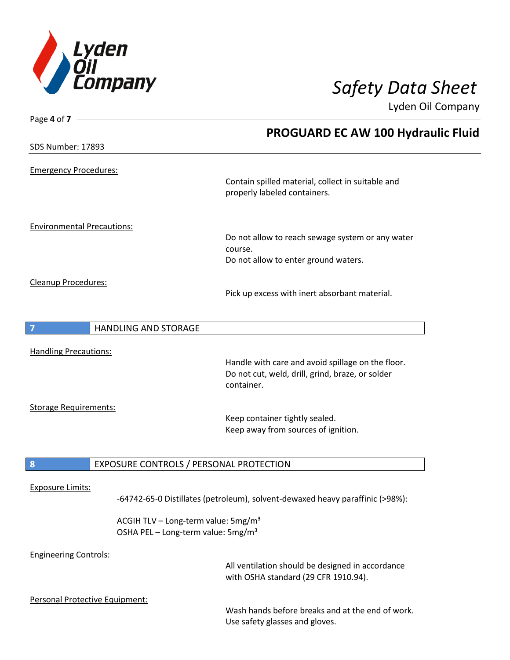

| Page 4 of 7                       |                                                                                                   |                                                                                          |  |
|-----------------------------------|---------------------------------------------------------------------------------------------------|------------------------------------------------------------------------------------------|--|
|                                   |                                                                                                   | PROGUARD EC AW 100 Hydraulic Fluid                                                       |  |
| SDS Number: 17893                 |                                                                                                   |                                                                                          |  |
| <b>Emergency Procedures:</b>      |                                                                                                   |                                                                                          |  |
|                                   |                                                                                                   | Contain spilled material, collect in suitable and<br>properly labeled containers.        |  |
| <b>Environmental Precautions:</b> |                                                                                                   |                                                                                          |  |
|                                   |                                                                                                   | Do not allow to reach sewage system or any water                                         |  |
|                                   |                                                                                                   | course.<br>Do not allow to enter ground waters.                                          |  |
|                                   |                                                                                                   |                                                                                          |  |
| Cleanup Procedures:               |                                                                                                   | Pick up excess with inert absorbant material.                                            |  |
|                                   | <b>HANDLING AND STORAGE</b>                                                                       |                                                                                          |  |
| <b>Handling Precautions:</b>      |                                                                                                   |                                                                                          |  |
|                                   |                                                                                                   | Handle with care and avoid spillage on the floor.                                        |  |
|                                   |                                                                                                   | Do not cut, weld, drill, grind, braze, or solder<br>container.                           |  |
|                                   |                                                                                                   |                                                                                          |  |
| <b>Storage Requirements:</b>      |                                                                                                   | Keep container tightly sealed.                                                           |  |
|                                   |                                                                                                   | Keep away from sources of ignition.                                                      |  |
| 8                                 | EXPOSURE CONTROLS / PERSONAL PROTECTION                                                           |                                                                                          |  |
|                                   |                                                                                                   |                                                                                          |  |
| <b>Exposure Limits:</b>           |                                                                                                   | -64742-65-0 Distillates (petroleum), solvent-dewaxed heavy paraffinic (>98%):            |  |
|                                   | ACGIH TLV - Long-term value: 5mg/m <sup>3</sup><br>OSHA PEL - Long-term value: 5mg/m <sup>3</sup> |                                                                                          |  |
| <b>Engineering Controls:</b>      |                                                                                                   | All ventilation should be designed in accordance<br>with OSHA standard (29 CFR 1910.94). |  |
| Personal Protective Equipment:    |                                                                                                   |                                                                                          |  |

Wash hands before breaks and at the end of work. Use safety glasses and gloves.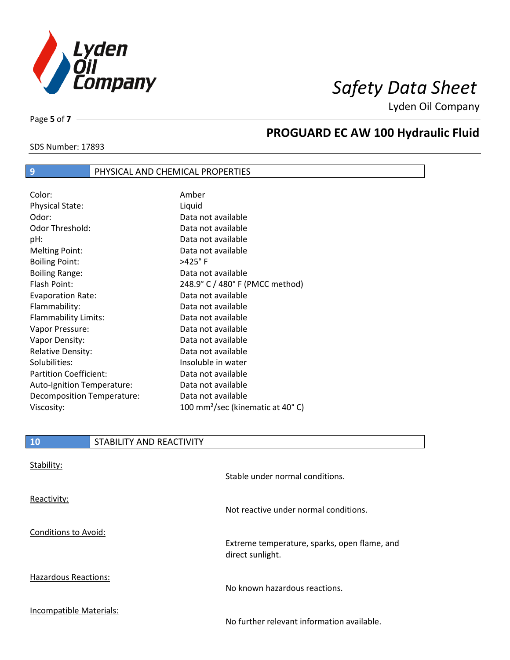

SDS Number: 17893

Page **5** of **7**

# **PROGUARD EC AW 100 Hydraulic Fluid**

### **9** PHYSICAL AND CHEMICAL PROPERTIES

| Color:                        | Amber                                        |
|-------------------------------|----------------------------------------------|
| <b>Physical State:</b>        | Liquid                                       |
| Odor:                         | Data not available                           |
| Odor Threshold:               | Data not available                           |
| pH:                           | Data not available                           |
| <b>Melting Point:</b>         | Data not available                           |
| <b>Boiling Point:</b>         | >425°F                                       |
| <b>Boiling Range:</b>         | Data not available                           |
| Flash Point:                  | 248.9° C / 480° F (PMCC method)              |
| <b>Evaporation Rate:</b>      | Data not available                           |
| Flammability:                 | Data not available                           |
| Flammability Limits:          | Data not available                           |
| Vapor Pressure:               | Data not available                           |
| Vapor Density:                | Data not available                           |
| <b>Relative Density:</b>      | Data not available                           |
| Solubilities:                 | Insoluble in water                           |
| <b>Partition Coefficient:</b> | Data not available                           |
| Auto-Ignition Temperature:    | Data not available                           |
| Decomposition Temperature:    | Data not available                           |
| Viscosity:                    | 100 mm <sup>2</sup> /sec (kinematic at 40°C) |

| 10                          | STABILITY AND REACTIVITY |                                                                  |
|-----------------------------|--------------------------|------------------------------------------------------------------|
| Stability:                  |                          | Stable under normal conditions.                                  |
| Reactivity:                 |                          | Not reactive under normal conditions.                            |
| <b>Conditions to Avoid:</b> |                          | Extreme temperature, sparks, open flame, and<br>direct sunlight. |
| <b>Hazardous Reactions:</b> |                          | No known hazardous reactions.                                    |
| Incompatible Materials:     |                          | No further relevant information available.                       |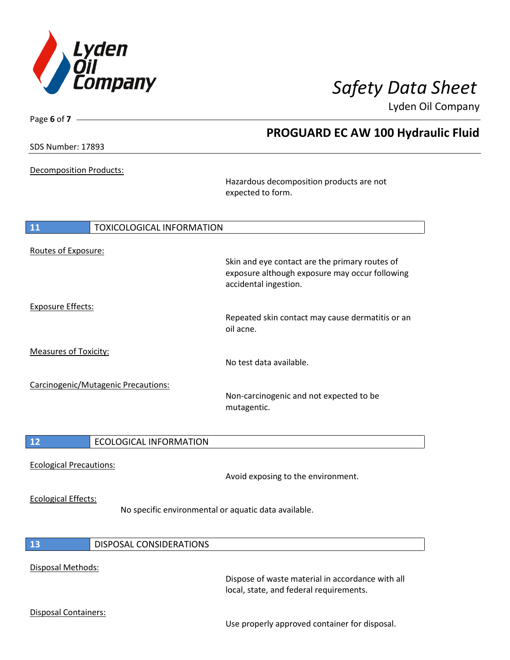

# *Safety Data Sheet*

Lyden Oil Company

| Page 6 of 7 -                  |                                     |                                                                                                                           | Lyden Oil Company |
|--------------------------------|-------------------------------------|---------------------------------------------------------------------------------------------------------------------------|-------------------|
|                                |                                     | <b>PROGUARD EC AW 100 Hydraulic Fluid</b>                                                                                 |                   |
| SDS Number: 17893              |                                     |                                                                                                                           |                   |
| Decomposition Products:        |                                     |                                                                                                                           |                   |
|                                |                                     | Hazardous decomposition products are not<br>expected to form.                                                             |                   |
| 11                             | <b>TOXICOLOGICAL INFORMATION</b>    |                                                                                                                           |                   |
| Routes of Exposure:            |                                     |                                                                                                                           |                   |
|                                |                                     | Skin and eye contact are the primary routes of<br>exposure although exposure may occur following<br>accidental ingestion. |                   |
| <b>Exposure Effects:</b>       |                                     |                                                                                                                           |                   |
|                                |                                     | Repeated skin contact may cause dermatitis or an<br>oil acne.                                                             |                   |
| <b>Measures of Toxicity:</b>   |                                     |                                                                                                                           |                   |
|                                |                                     | No test data available.                                                                                                   |                   |
|                                | Carcinogenic/Mutagenic Precautions: | Non-carcinogenic and not expected to be<br>mutagentic.                                                                    |                   |
| 12                             | <b>ECOLOGICAL INFORMATION</b>       |                                                                                                                           |                   |
| <b>Ecological Precautions:</b> |                                     |                                                                                                                           |                   |
|                                |                                     | Avoid exposing to the environment.                                                                                        |                   |
| <b>Ecological Effects:</b>     |                                     | No specific environmental or aquatic data available.                                                                      |                   |
| 13                             | <b>DISPOSAL CONSIDERATIONS</b>      |                                                                                                                           |                   |
| Disposal Methods:              |                                     |                                                                                                                           |                   |

Dispose of waste material in accordance with all local, state, and federal requirements.

Disposal Containers:

Use properly approved container for disposal.